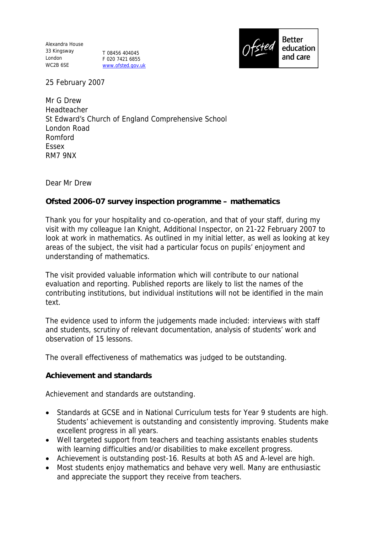Alexandra House 33 Kingsway London WC2B 6SE

T 08456 404045 F 020 7421 6855 www.ofsted.gov.uk



25 February 2007

Mr G Drew Headteacher St Edward's Church of England Comprehensive School London Road Romford Essex RM7 9NX

Dear Mr Drew

**Ofsted 2006-07 survey inspection programme – mathematics**

Thank you for your hospitality and co-operation, and that of your staff, during my visit with my colleague Ian Knight, Additional Inspector, on 21-22 February 2007 to look at work in mathematics. As outlined in my initial letter, as well as looking at key areas of the subject, the visit had a particular focus on pupils' enjoyment and understanding of mathematics.

The visit provided valuable information which will contribute to our national evaluation and reporting. Published reports are likely to list the names of the contributing institutions, but individual institutions will not be identified in the main text.

The evidence used to inform the judgements made included: interviews with staff and students, scrutiny of relevant documentation, analysis of students' work and observation of 15 lessons.

The overall effectiveness of mathematics was judged to be outstanding.

**Achievement and standards**

Achievement and standards are outstanding.

- Standards at GCSE and in National Curriculum tests for Year 9 students are high. Students' achievement is outstanding and consistently improving. Students make excellent progress in all years.
- Well targeted support from teachers and teaching assistants enables students with learning difficulties and/or disabilities to make excellent progress.
- Achievement is outstanding post-16. Results at both AS and A-level are high.
- Most students enjoy mathematics and behave very well. Many are enthusiastic and appreciate the support they receive from teachers.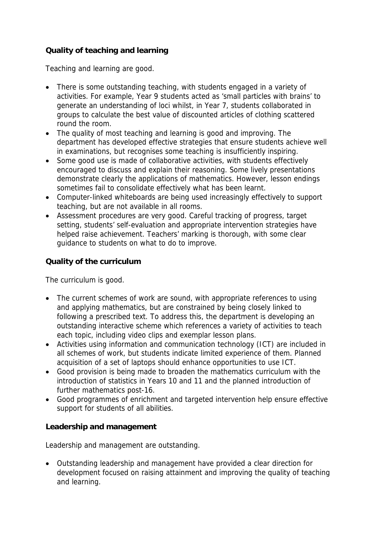## **Quality of teaching and learning**

Teaching and learning are good.

- There is some outstanding teaching, with students engaged in a variety of activities. For example, Year 9 students acted as 'small particles with brains' to generate an understanding of loci whilst, in Year 7, students collaborated in groups to calculate the best value of discounted articles of clothing scattered round the room.
- The quality of most teaching and learning is good and improving. The department has developed effective strategies that ensure students achieve well in examinations, but recognises some teaching is insufficiently inspiring.
- Some good use is made of collaborative activities, with students effectively encouraged to discuss and explain their reasoning. Some lively presentations demonstrate clearly the applications of mathematics. However, lesson endings sometimes fail to consolidate effectively what has been learnt.
- Computer-linked whiteboards are being used increasingly effectively to support teaching, but are not available in all rooms.
- Assessment procedures are very good. Careful tracking of progress, target setting, students' self-evaluation and appropriate intervention strategies have helped raise achievement. Teachers' marking is thorough, with some clear guidance to students on what to do to improve.

## **Quality of the curriculum**

The curriculum is good.

- The current schemes of work are sound, with appropriate references to using and applying mathematics, but are constrained by being closely linked to following a prescribed text. To address this, the department is developing an outstanding interactive scheme which references a variety of activities to teach each topic, including video clips and exemplar lesson plans.
- Activities using information and communication technology (ICT) are included in all schemes of work, but students indicate limited experience of them. Planned acquisition of a set of laptops should enhance opportunities to use ICT.
- Good provision is being made to broaden the mathematics curriculum with the introduction of statistics in Years 10 and 11 and the planned introduction of further mathematics post-16.
- Good programmes of enrichment and targeted intervention help ensure effective support for students of all abilities.

## **Leadership and management**

Leadership and management are outstanding.

 Outstanding leadership and management have provided a clear direction for development focused on raising attainment and improving the quality of teaching and learning.